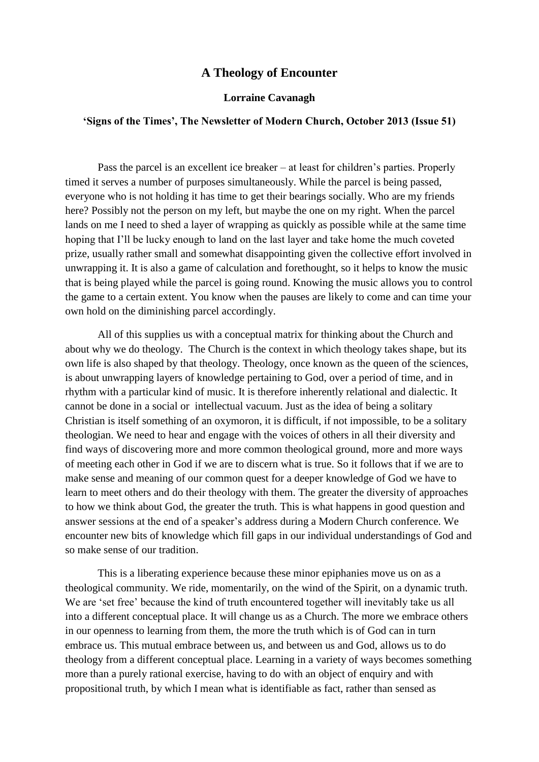## **A Theology of Encounter**

## **Lorraine Cavanagh**

## **'Signs of the Times', The Newsletter of Modern Church, October 2013 (Issue 51)**

Pass the parcel is an excellent ice breaker – at least for children's parties. Properly timed it serves a number of purposes simultaneously. While the parcel is being passed, everyone who is not holding it has time to get their bearings socially. Who are my friends here? Possibly not the person on my left, but maybe the one on my right. When the parcel lands on me I need to shed a layer of wrapping as quickly as possible while at the same time hoping that I'll be lucky enough to land on the last layer and take home the much coveted prize, usually rather small and somewhat disappointing given the collective effort involved in unwrapping it. It is also a game of calculation and forethought, so it helps to know the music that is being played while the parcel is going round. Knowing the music allows you to control the game to a certain extent. You know when the pauses are likely to come and can time your own hold on the diminishing parcel accordingly.

All of this supplies us with a conceptual matrix for thinking about the Church and about why we do theology. The Church is the context in which theology takes shape, but its own life is also shaped by that theology. Theology, once known as the queen of the sciences, is about unwrapping layers of knowledge pertaining to God, over a period of time, and in rhythm with a particular kind of music. It is therefore inherently relational and dialectic. It cannot be done in a social or intellectual vacuum. Just as the idea of being a solitary Christian is itself something of an oxymoron, it is difficult, if not impossible, to be a solitary theologian. We need to hear and engage with the voices of others in all their diversity and find ways of discovering more and more common theological ground, more and more ways of meeting each other in God if we are to discern what is true. So it follows that if we are to make sense and meaning of our common quest for a deeper knowledge of God we have to learn to meet others and do their theology with them. The greater the diversity of approaches to how we think about God, the greater the truth. This is what happens in good question and answer sessions at the end of a speaker's address during a Modern Church conference. We encounter new bits of knowledge which fill gaps in our individual understandings of God and so make sense of our tradition.

This is a liberating experience because these minor epiphanies move us on as a theological community. We ride, momentarily, on the wind of the Spirit, on a dynamic truth. We are 'set free' because the kind of truth encountered together will inevitably take us all into a different conceptual place. It will change us as a Church. The more we embrace others in our openness to learning from them, the more the truth which is of God can in turn embrace us. This mutual embrace between us, and between us and God, allows us to do theology from a different conceptual place. Learning in a variety of ways becomes something more than a purely rational exercise, having to do with an object of enquiry and with propositional truth, by which I mean what is identifiable as fact, rather than sensed as